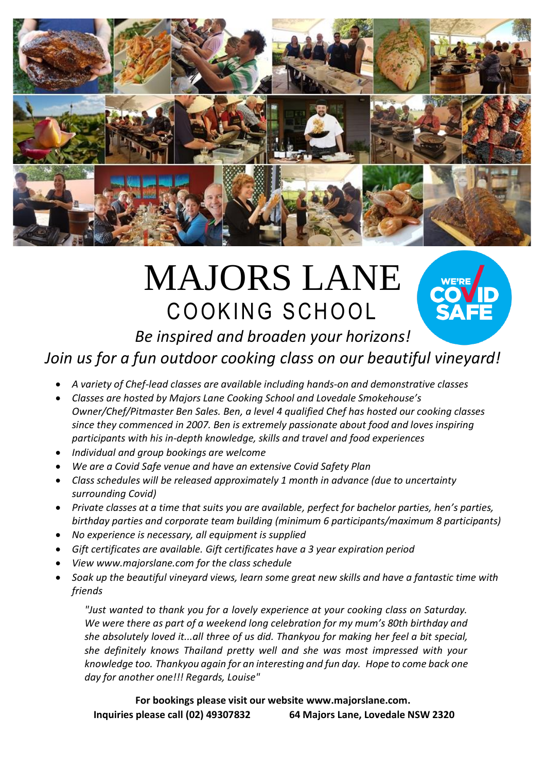

# MAJORS LANE COOKING SCHOOL



## *Be inspired and broaden your horizons! Join us for a fun outdoor cooking class on our beautiful vineyard!*

- *A variety of Chef-lead classes are available including hands-on and demonstrative classes*
- *Classes are hosted by Majors Lane Cooking School and Lovedale Smokehouse's Owner/Chef/Pitmaster Ben Sales. Ben, a level 4 qualified Chef has hosted our cooking classes since they commenced in 2007. Ben is extremely passionate about food and loves inspiring participants with his in-depth knowledge, skills and travel and food experiences*
- *Individual and group bookings are welcome*
- *We are a Covid Safe venue and have an extensive Covid Safety Plan*
- *Class schedules will be released approximately 1 month in advance (due to uncertainty surrounding Covid)*
- *Private classes at a time that suits you are available, perfect for bachelor parties, hen's parties, birthday parties and corporate team building (minimum 6 participants/maximum 8 participants)*
- *No experience is necessary, all equipment is supplied*
- *Gift certificates are available. Gift certificates have a 3 year expiration period*
- *View www.majorslane.com for the class schedule*
- *Soak up the beautiful vineyard views, learn some great new skills and have a fantastic time with friends*

*"Just wanted to thank you for a lovely experience at your cooking class on Saturday. We were there as part of a weekend long celebration for my mum's 80th birthday and she absolutely loved it...all three of us did. Thankyou for making her feel a bit special, she definitely knows Thailand pretty well and she was most impressed with your knowledge too. Thankyou again for an interesting and fun day. Hope to come back one day for another one!!! Regards, Louise"*

**For bookings please visit our website www.majorslane.com. Inquiries please call (02) 49307832 64 Majors Lane, Lovedale NSW 2320**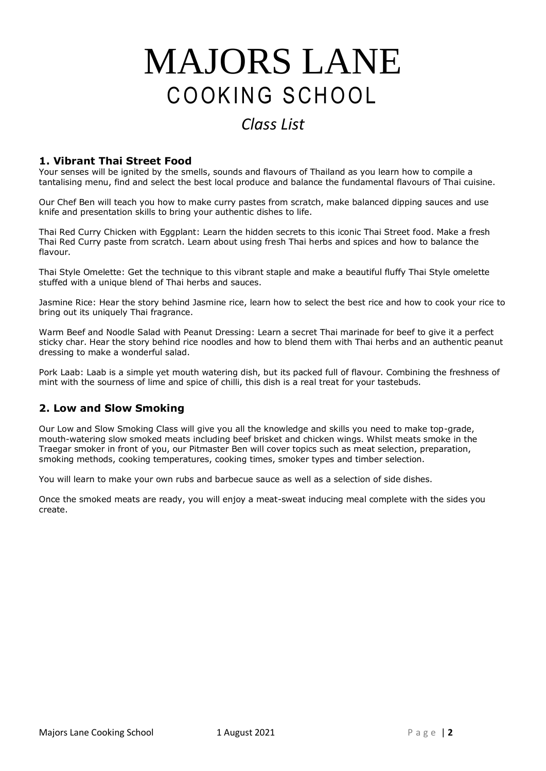# MAJORS LANE COOKING SCHOOL

## *Class List*

### **1. Vibrant Thai Street Food**

Your senses will be ignited by the smells, sounds and flavours of Thailand as you learn how to compile a tantalising menu, find and select the best local produce and balance the fundamental flavours of Thai cuisine.

Our Chef Ben will teach you how to make curry pastes from scratch, make balanced dipping sauces and use knife and presentation skills to bring your authentic dishes to life.

Thai Red Curry Chicken with Eggplant: Learn the hidden secrets to this iconic Thai Street food. Make a fresh Thai Red Curry paste from scratch. Learn about using fresh Thai herbs and spices and how to balance the flavour.

Thai Style Omelette: Get the technique to this vibrant staple and make a beautiful fluffy Thai Style omelette stuffed with a unique blend of Thai herbs and sauces.

Jasmine Rice: Hear the story behind Jasmine rice, learn how to select the best rice and how to cook your rice to bring out its uniquely Thai fragrance.

Warm Beef and Noodle Salad with Peanut Dressing: Learn a secret Thai marinade for beef to give it a perfect sticky char. Hear the story behind rice noodles and how to blend them with Thai herbs and an authentic peanut dressing to make a wonderful salad.

Pork Laab: Laab is a simple yet mouth watering dish, but its packed full of flavour. Combining the freshness of mint with the sourness of lime and spice of chilli, this dish is a real treat for your tastebuds.

### **2. Low and Slow Smoking**

Our Low and Slow Smoking Class will give you all the knowledge and skills you need to make top-grade, mouth-watering slow smoked meats including beef brisket and chicken wings. Whilst meats smoke in the Traegar smoker in front of you, our Pitmaster Ben will cover topics such as meat selection, preparation, smoking methods, cooking temperatures, cooking times, smoker types and timber selection.

You will learn to make your own rubs and barbecue sauce as well as a selection of side dishes.

Once the smoked meats are ready, you will enjoy a meat-sweat inducing meal complete with the sides you create.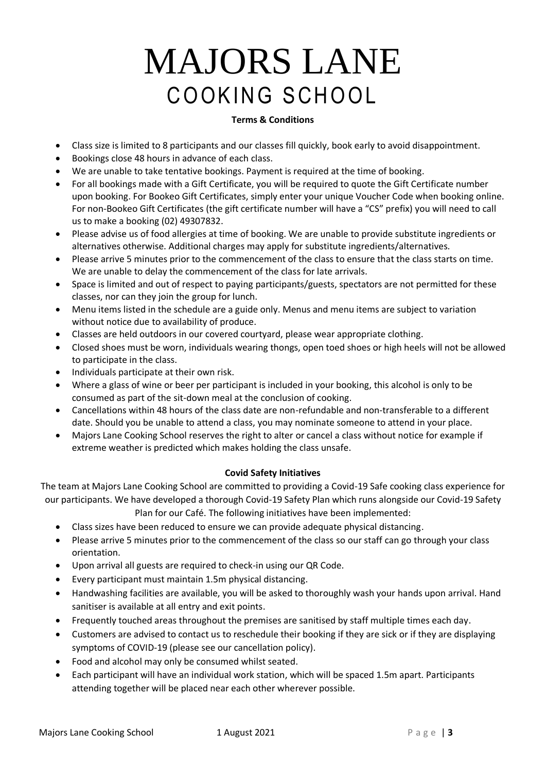# MAJORS LANE COOKING SCHOOL

### **Terms & Conditions**

- Class size is limited to 8 participants and our classes fill quickly, book early to avoid disappointment.
- Bookings close 48 hours in advance of each class.
- We are unable to take tentative bookings. Payment is required at the time of booking.
- For all bookings made with a Gift Certificate, you will be required to quote the Gift Certificate number upon booking. For Bookeo Gift Certificates, simply enter your unique Voucher Code when booking online. For non-Bookeo Gift Certificates (the gift certificate number will have a "CS" prefix) you will need to call us to make a booking (02) 49307832.
- Please advise us of food allergies at time of booking. We are unable to provide substitute ingredients or alternatives otherwise. Additional charges may apply for substitute ingredients/alternatives.
- Please arrive 5 minutes prior to the commencement of the class to ensure that the class starts on time. We are unable to delay the commencement of the class for late arrivals.
- Space is limited and out of respect to paying participants/guests, spectators are not permitted for these classes, nor can they join the group for lunch.
- Menu items listed in the schedule are a guide only. Menus and menu items are subject to variation without notice due to availability of produce.
- Classes are held outdoors in our covered courtyard, please wear appropriate clothing.
- Closed shoes must be worn, individuals wearing thongs, open toed shoes or high heels will not be allowed to participate in the class.
- Individuals participate at their own risk.
- Where a glass of wine or beer per participant is included in your booking, this alcohol is only to be consumed as part of the sit-down meal at the conclusion of cooking.
- Cancellations within 48 hours of the class date are non-refundable and non-transferable to a different date. Should you be unable to attend a class, you may nominate someone to attend in your place.
- Majors Lane Cooking School reserves the right to alter or cancel a class without notice for example if extreme weather is predicted which makes holding the class unsafe.

#### **Covid Safety Initiatives**

The team at Majors Lane Cooking School are committed to providing a Covid-19 Safe cooking class experience for our participants. We have developed a thorough Covid-19 Safety Plan which runs alongside our Covid-19 Safety

Plan for our Café. The following initiatives have been implemented:

- Class sizes have been reduced to ensure we can provide adequate physical distancing.
- Please arrive 5 minutes prior to the commencement of the class so our staff can go through your class orientation.
- Upon arrival all guests are required to check-in using our QR Code.
- Every participant must maintain 1.5m physical distancing.
- Handwashing facilities are available, you will be asked to thoroughly wash your hands upon arrival. Hand sanitiser is available at all entry and exit points.
- Frequently touched areas throughout the premises are sanitised by staff multiple times each day.
- Customers are advised to contact us to reschedule their booking if they are sick or if they are displaying symptoms of COVID-19 (please see our cancellation policy).
- Food and alcohol may only be consumed whilst seated.
- Each participant will have an individual work station, which will be spaced 1.5m apart. Participants attending together will be placed near each other wherever possible.